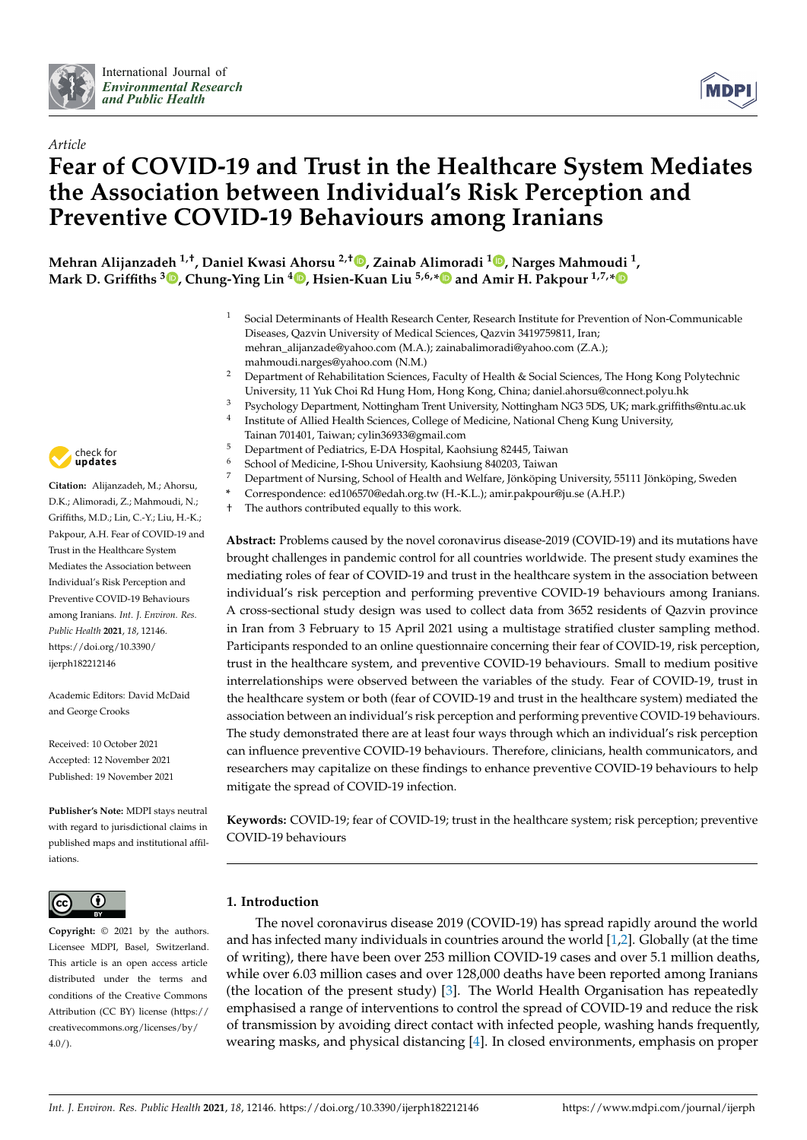

4



# *Article* **Fear of COVID-19 and Trust in the Healthcare System Mediates the Association between Individual's Risk Perception and Preventive COVID-19 Behaviours among Iranians**

**Mehran Alijanzadeh 1,†, Daniel Kwasi Ahorsu 2,† [,](https://orcid.org/0000-0003-0530-8138) Zainab Alimoradi <sup>1</sup> [,](https://orcid.org/0000-0001-5327-2411) Narges Mahmoudi <sup>1</sup> , Mark D. Griffiths <sup>3</sup> [,](https://orcid.org/0000-0001-8880-6524) Chung-Ying Lin <sup>4</sup> [,](https://orcid.org/0000-0002-2129-4242) Hsien-Kuan Liu 5,6,[\\*](https://orcid.org/0000-0003-0176-1381) and Amir H. Pakpour 1,7,[\\*](https://orcid.org/0000-0002-8798-5345)**

- <sup>1</sup> Social Determinants of Health Research Center, Research Institute for Prevention of Non-Communicable Diseases, Qazvin University of Medical Sciences, Qazvin 3419759811, Iran; mehran\_alijanzade@yahoo.com (M.A.); zainabalimoradi@yahoo.com (Z.A.); mahmoudi.narges@yahoo.com (N.M.)
- <sup>2</sup> Department of Rehabilitation Sciences, Faculty of Health & Social Sciences, The Hong Kong Polytechnic University, 11 Yuk Choi Rd Hung Hom, Hong Kong, China; daniel.ahorsu@connect.polyu.hk
- <sup>3</sup> Psychology Department, Nottingham Trent University, Nottingham NG3 5DS, UK; mark.griffiths@ntu.ac.uk
- Institute of Allied Health Sciences, College of Medicine, National Cheng Kung University, Tainan 701401, Taiwan; cylin36933@gmail.com
- <sup>5</sup> Department of Pediatrics, E-DA Hospital, Kaohsiung 82445, Taiwan
- <sup>6</sup> School of Medicine, I-Shou University, Kaohsiung 840203, Taiwan
- <sup>7</sup> Department of Nursing, School of Health and Welfare, Jönköping University, 55111 Jönköping, Sweden
- **\*** Correspondence: ed106570@edah.org.tw (H.-K.L.); amir.pakpour@ju.se (A.H.P.)
- † The authors contributed equally to this work.

**Abstract:** Problems caused by the novel coronavirus disease-2019 (COVID-19) and its mutations have brought challenges in pandemic control for all countries worldwide. The present study examines the mediating roles of fear of COVID-19 and trust in the healthcare system in the association between individual's risk perception and performing preventive COVID-19 behaviours among Iranians. A cross-sectional study design was used to collect data from 3652 residents of Qazvin province in Iran from 3 February to 15 April 2021 using a multistage stratified cluster sampling method. Participants responded to an online questionnaire concerning their fear of COVID-19, risk perception, trust in the healthcare system, and preventive COVID-19 behaviours. Small to medium positive interrelationships were observed between the variables of the study. Fear of COVID-19, trust in the healthcare system or both (fear of COVID-19 and trust in the healthcare system) mediated the association between an individual's risk perception and performing preventive COVID-19 behaviours. The study demonstrated there are at least four ways through which an individual's risk perception can influence preventive COVID-19 behaviours. Therefore, clinicians, health communicators, and researchers may capitalize on these findings to enhance preventive COVID-19 behaviours to help mitigate the spread of COVID-19 infection.

**Keywords:** COVID-19; fear of COVID-19; trust in the healthcare system; risk perception; preventive COVID-19 behaviours

# **1. Introduction**

The novel coronavirus disease 2019 (COVID-19) has spread rapidly around the world and has infected many individuals in countries around the world [\[1,](#page-7-0)[2\]](#page-7-1). Globally (at the time of writing), there have been over 253 million COVID-19 cases and over 5.1 million deaths, while over 6.03 million cases and over 128,000 deaths have been reported among Iranians (the location of the present study) [\[3\]](#page-7-2). The World Health Organisation has repeatedly emphasised a range of interventions to control the spread of COVID-19 and reduce the risk of transmission by avoiding direct contact with infected people, washing hands frequently, wearing masks, and physical distancing [\[4\]](#page-7-3). In closed environments, emphasis on proper



**Citation:** Alijanzadeh, M.; Ahorsu, D.K.; Alimoradi, Z.; Mahmoudi, N.; Griffiths, M.D.; Lin, C.-Y.; Liu, H.-K.; Pakpour, A.H. Fear of COVID-19 and Trust in the Healthcare System Mediates the Association between Individual's Risk Perception and Preventive COVID-19 Behaviours among Iranians. *Int. J. Environ. Res. Public Health* **2021**, *18*, 12146. [https://doi.org/10.3390/](https://doi.org/10.3390/ijerph182212146) [ijerph182212146](https://doi.org/10.3390/ijerph182212146)

Academic Editors: David McDaid and George Crooks

Received: 10 October 2021 Accepted: 12 November 2021 Published: 19 November 2021

**Publisher's Note:** MDPI stays neutral with regard to jurisdictional claims in published maps and institutional affiliations.



**Copyright:** © 2021 by the authors. Licensee MDPI, Basel, Switzerland. This article is an open access article distributed under the terms and conditions of the Creative Commons Attribution (CC BY) license (https:/[/](https://creativecommons.org/licenses/by/4.0/) [creativecommons.org/licenses/by/](https://creativecommons.org/licenses/by/4.0/)  $4.0/$ ).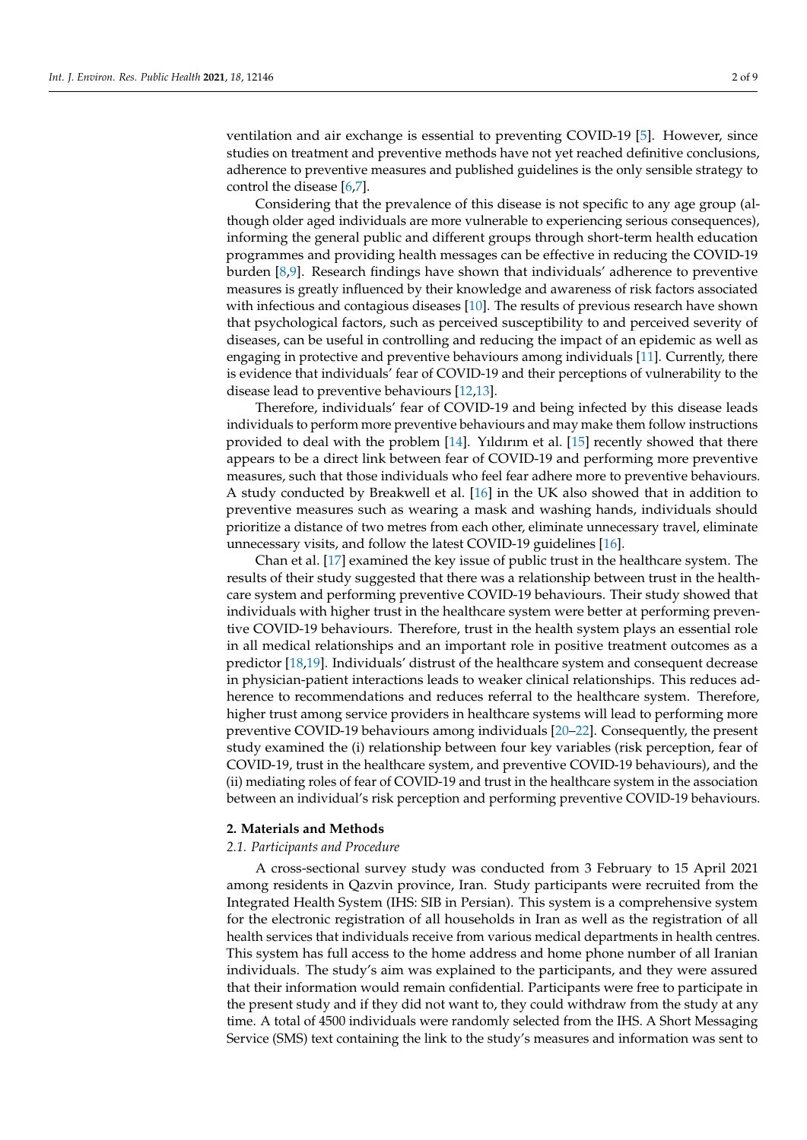ventilation and air exchange is essential to preventing COVID-19 [\[5\]](#page-7-4). However, since studies on treatment and preventive methods have not yet reached definitive conclusions, adherence to preventive measures and published guidelines is the only sensible strategy to control the disease [\[6,](#page-7-5)[7\]](#page-7-6).

Considering that the prevalence of this disease is not specific to any age group (although older aged individuals are more vulnerable to experiencing serious consequences), informing the general public and different groups through short-term health education programmes and providing health messages can be effective in reducing the COVID-19 burden [\[8](#page-7-7)[,9\]](#page-7-8). Research findings have shown that individuals' adherence to preventive measures is greatly influenced by their knowledge and awareness of risk factors associated with infectious and contagious diseases [\[10\]](#page-7-9). The results of previous research have shown that psychological factors, such as perceived susceptibility to and perceived severity of diseases, can be useful in controlling and reducing the impact of an epidemic as well as engaging in protective and preventive behaviours among individuals [\[11\]](#page-7-10). Currently, there is evidence that individuals' fear of COVID-19 and their perceptions of vulnerability to the disease lead to preventive behaviours [\[12](#page-7-11)[,13\]](#page-7-12).

Therefore, individuals' fear of COVID-19 and being infected by this disease leads individuals to perform more preventive behaviours and may make them follow instructions provided to deal with the problem [\[14\]](#page-7-13). Yıldırım et al. [\[15\]](#page-7-14) recently showed that there appears to be a direct link between fear of COVID-19 and performing more preventive measures, such that those individuals who feel fear adhere more to preventive behaviours. A study conducted by Breakwell et al. [\[16\]](#page-7-15) in the UK also showed that in addition to preventive measures such as wearing a mask and washing hands, individuals should prioritize a distance of two metres from each other, eliminate unnecessary travel, eliminate unnecessary visits, and follow the latest COVID-19 guidelines [\[16\]](#page-7-15).

Chan et al. [\[17\]](#page-7-16) examined the key issue of public trust in the healthcare system. The results of their study suggested that there was a relationship between trust in the healthcare system and performing preventive COVID-19 behaviours. Their study showed that individuals with higher trust in the healthcare system were better at performing preventive COVID-19 behaviours. Therefore, trust in the health system plays an essential role in all medical relationships and an important role in positive treatment outcomes as a predictor [\[18](#page-8-0)[,19\]](#page-8-1). Individuals' distrust of the healthcare system and consequent decrease in physician-patient interactions leads to weaker clinical relationships. This reduces adherence to recommendations and reduces referral to the healthcare system. Therefore, higher trust among service providers in healthcare systems will lead to performing more preventive COVID-19 behaviours among individuals [\[20–](#page-8-2)[22\]](#page-8-3). Consequently, the present study examined the (i) relationship between four key variables (risk perception, fear of COVID-19, trust in the healthcare system, and preventive COVID-19 behaviours), and the (ii) mediating roles of fear of COVID-19 and trust in the healthcare system in the association between an individual's risk perception and performing preventive COVID-19 behaviours.

### **2. Materials and Methods**

#### *2.1. Participants and Procedure*

A cross-sectional survey study was conducted from 3 February to 15 April 2021 among residents in Qazvin province, Iran. Study participants were recruited from the Integrated Health System (IHS: SIB in Persian). This system is a comprehensive system for the electronic registration of all households in Iran as well as the registration of all health services that individuals receive from various medical departments in health centres. This system has full access to the home address and home phone number of all Iranian individuals. The study's aim was explained to the participants, and they were assured that their information would remain confidential. Participants were free to participate in the present study and if they did not want to, they could withdraw from the study at any time. A total of 4500 individuals were randomly selected from the IHS. A Short Messaging Service (SMS) text containing the link to the study's measures and information was sent to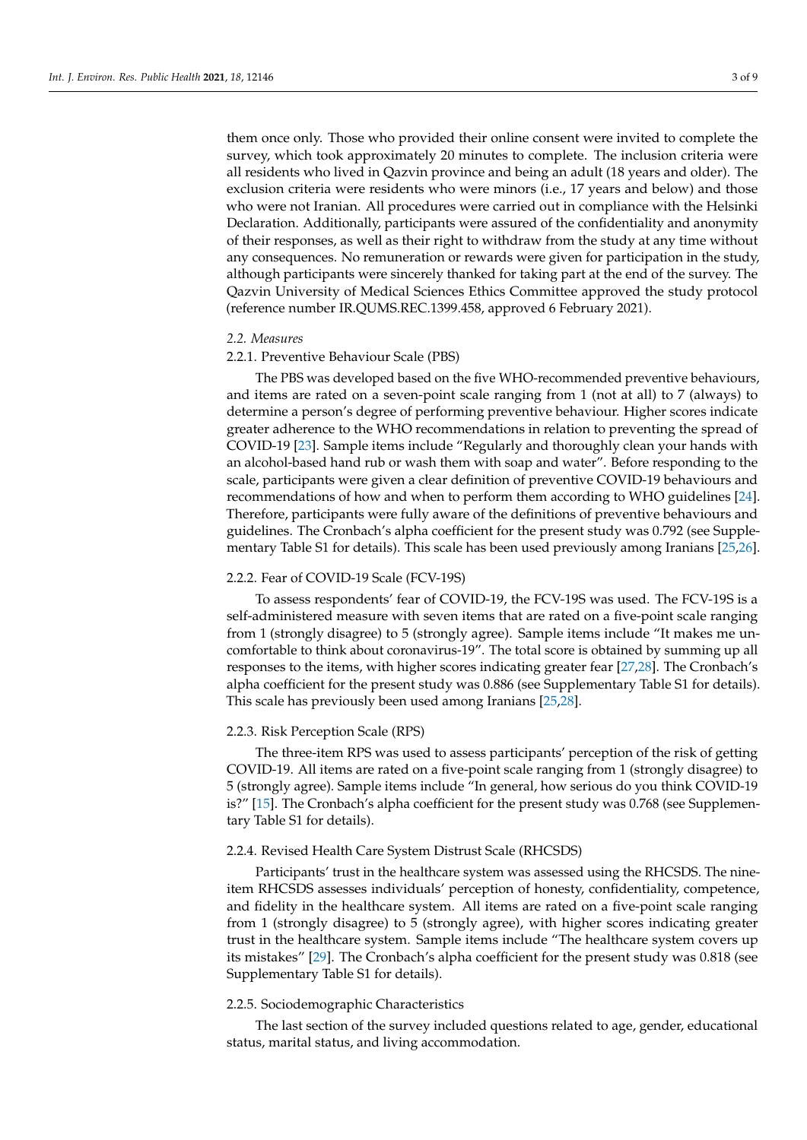them once only. Those who provided their online consent were invited to complete the survey, which took approximately 20 minutes to complete. The inclusion criteria were all residents who lived in Qazvin province and being an adult (18 years and older). The exclusion criteria were residents who were minors (i.e., 17 years and below) and those who were not Iranian. All procedures were carried out in compliance with the Helsinki Declaration. Additionally, participants were assured of the confidentiality and anonymity of their responses, as well as their right to withdraw from the study at any time without any consequences. No remuneration or rewards were given for participation in the study, although participants were sincerely thanked for taking part at the end of the survey. The Qazvin University of Medical Sciences Ethics Committee approved the study protocol (reference number IR.QUMS.REC.1399.458, approved 6 February 2021).

#### *2.2. Measures*

#### 2.2.1. Preventive Behaviour Scale (PBS)

The PBS was developed based on the five WHO-recommended preventive behaviours, and items are rated on a seven-point scale ranging from 1 (not at all) to 7 (always) to determine a person's degree of performing preventive behaviour. Higher scores indicate greater adherence to the WHO recommendations in relation to preventing the spread of COVID-19 [\[23\]](#page-8-4). Sample items include "Regularly and thoroughly clean your hands with an alcohol-based hand rub or wash them with soap and water". Before responding to the scale, participants were given a clear definition of preventive COVID-19 behaviours and recommendations of how and when to perform them according to WHO guidelines [\[24\]](#page-8-5). Therefore, participants were fully aware of the definitions of preventive behaviours and guidelines. The Cronbach's alpha coefficient for the present study was 0.792 (see Supplementary Table S1 for details). This scale has been used previously among Iranians [\[25,](#page-8-6)[26\]](#page-8-7).

# 2.2.2. Fear of COVID-19 Scale (FCV-19S)

To assess respondents' fear of COVID-19, the FCV-19S was used. The FCV-19S is a self-administered measure with seven items that are rated on a five-point scale ranging from 1 (strongly disagree) to 5 (strongly agree). Sample items include "It makes me uncomfortable to think about coronavirus-19". The total score is obtained by summing up all responses to the items, with higher scores indicating greater fear [\[27](#page-8-8)[,28\]](#page-8-9). The Cronbach's alpha coefficient for the present study was 0.886 (see Supplementary Table S1 for details). This scale has previously been used among Iranians [\[25,](#page-8-6)[28\]](#page-8-9).

# 2.2.3. Risk Perception Scale (RPS)

The three-item RPS was used to assess participants' perception of the risk of getting COVID-19. All items are rated on a five-point scale ranging from 1 (strongly disagree) to 5 (strongly agree). Sample items include "In general, how serious do you think COVID-19 is?" [\[15\]](#page-7-14). The Cronbach's alpha coefficient for the present study was 0.768 (see Supplementary Table S1 for details).

# 2.2.4. Revised Health Care System Distrust Scale (RHCSDS)

Participants' trust in the healthcare system was assessed using the RHCSDS. The nineitem RHCSDS assesses individuals' perception of honesty, confidentiality, competence, and fidelity in the healthcare system. All items are rated on a five-point scale ranging from 1 (strongly disagree) to 5 (strongly agree), with higher scores indicating greater trust in the healthcare system. Sample items include "The healthcare system covers up its mistakes" [\[29\]](#page-8-10). The Cronbach's alpha coefficient for the present study was 0.818 (see Supplementary Table S1 for details).

# 2.2.5. Sociodemographic Characteristics

The last section of the survey included questions related to age, gender, educational status, marital status, and living accommodation.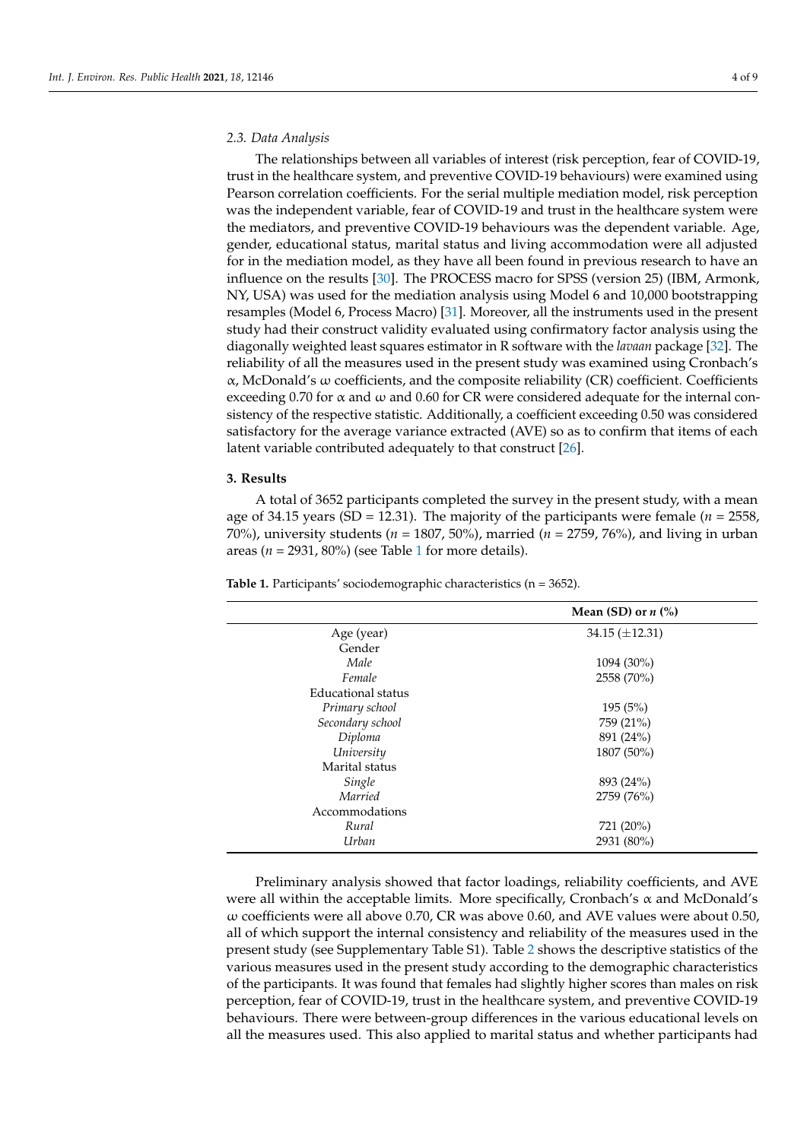#### *2.3. Data Analysis*

The relationships between all variables of interest (risk perception, fear of COVID-19, trust in the healthcare system, and preventive COVID-19 behaviours) were examined using Pearson correlation coefficients. For the serial multiple mediation model, risk perception was the independent variable, fear of COVID-19 and trust in the healthcare system were the mediators, and preventive COVID-19 behaviours was the dependent variable. Age, gender, educational status, marital status and living accommodation were all adjusted for in the mediation model, as they have all been found in previous research to have an influence on the results [\[30\]](#page-8-11). The PROCESS macro for SPSS (version 25) (IBM, Armonk, NY, USA) was used for the mediation analysis using Model 6 and 10,000 bootstrapping resamples (Model 6, Process Macro) [\[31\]](#page-8-12). Moreover, all the instruments used in the present study had their construct validity evaluated using confirmatory factor analysis using the diagonally weighted least squares estimator in R software with the *lavaan* package [\[32\]](#page-8-13). The reliability of all the measures used in the present study was examined using Cronbach's α, McDonald's ω coefficients, and the composite reliability (CR) coefficient. Coefficients exceeding 0.70 for  $\alpha$  and  $\omega$  and 0.60 for CR were considered adequate for the internal consistency of the respective statistic. Additionally, a coefficient exceeding 0.50 was considered satisfactory for the average variance extracted (AVE) so as to confirm that items of each latent variable contributed adequately to that construct [\[26\]](#page-8-7).

### **3. Results**

A total of 3652 participants completed the survey in the present study, with a mean age of 34.15 years (SD = 12.31). The majority of the participants were female ( $n = 2558$ ) 70%), university students (*n* = 1807, 50%), married (*n* = 2759, 76%), and living in urban areas ( $n = 2931, 80\%$  $n = 2931, 80\%$  $n = 2931, 80\%$ ) (see Table 1 for more details).

|                    | Mean (SD) or $n$ (%)  |
|--------------------|-----------------------|
| Age (year)         | $34.15 \ (\pm 12.31)$ |
| Gender             |                       |
| Male               | 1094 (30%)            |
| Female             | 2558 (70%)            |
| Educational status |                       |
| Primary school     | 195(5%)               |
| Secondary school   | 759 (21%)             |
| Diploma            | 891 (24%)             |
| University         | 1807 (50%)            |
| Marital status     |                       |
| Single             | 893 (24%)             |
| Married            | 2759 (76%)            |
| Accommodations     |                       |
| Rural              | 721 (20%)             |
| Urban              | 2931 (80%)            |

<span id="page-3-0"></span>**Table 1.** Participants' sociodemographic characteristics (n = 3652).

Preliminary analysis showed that factor loadings, reliability coefficients, and AVE were all within the acceptable limits. More specifically, Cronbach's  $\alpha$  and McDonald's ω coefficients were all above 0.70, CR was above 0.60, and AVE values were about 0.50, all of which support the internal consistency and reliability of the measures used in the present study (see Supplementary Table S1). Table [2](#page-4-0) shows the descriptive statistics of the various measures used in the present study according to the demographic characteristics of the participants. It was found that females had slightly higher scores than males on risk perception, fear of COVID-19, trust in the healthcare system, and preventive COVID-19 behaviours. There were between-group differences in the various educational levels on all the measures used. This also applied to marital status and whether participants had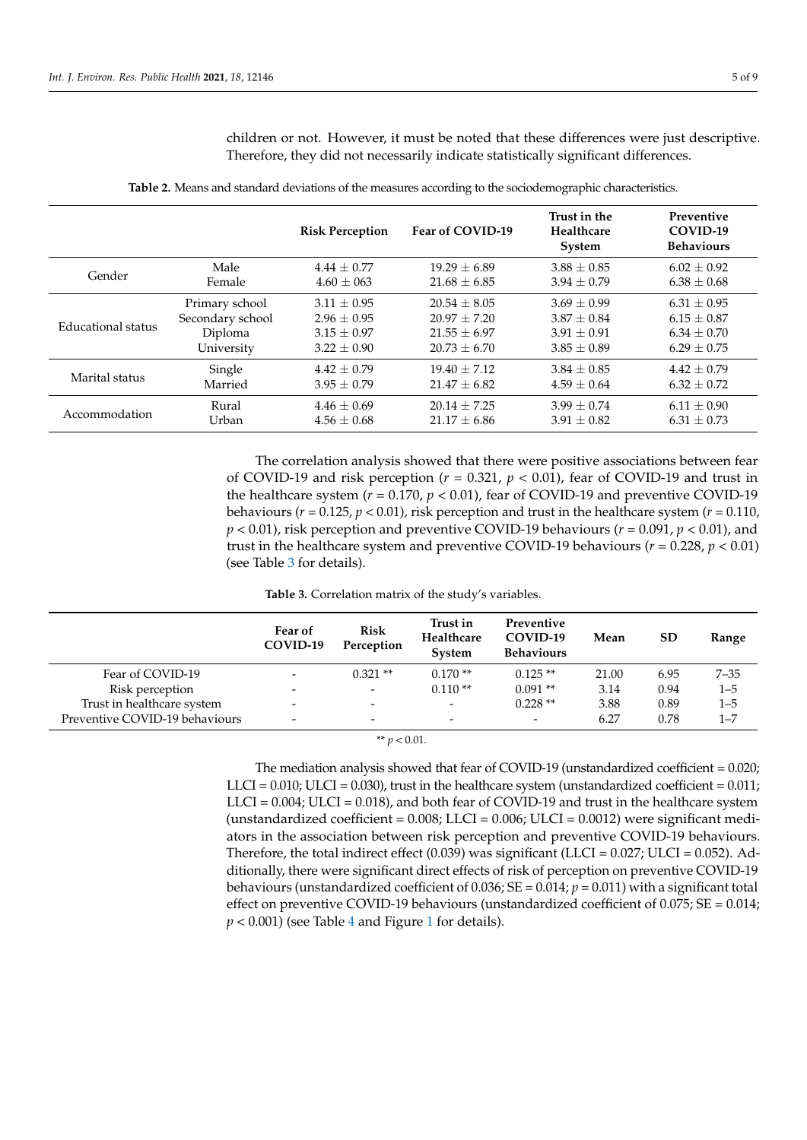children or not. However, it must be noted that these differences were just descriptive. Therefore, they did not necessarily indicate statistically significant differences.

<span id="page-4-0"></span>

|                    |                  | <b>Risk Perception</b> | Fear of COVID-19 | Trust in the<br>Healthcare<br>System | Preventive<br>COVID-19<br><b>Behaviours</b> |
|--------------------|------------------|------------------------|------------------|--------------------------------------|---------------------------------------------|
| Gender             | Male             | $4.44 + 0.77$          | $19.29 + 6.89$   | $3.88 + 0.85$                        | $6.02 + 0.92$                               |
|                    | Female           | $4.60 + 063$           | $21.68 + 6.85$   | $3.94 + 0.79$                        | $6.38 \pm 0.68$                             |
| Educational status | Primary school   | $3.11 + 0.95$          | $20.54 \pm 8.05$ | $3.69 + 0.99$                        | $6.31 \pm 0.95$                             |
|                    | Secondary school | $2.96 \pm 0.95$        | $20.97 \pm 7.20$ | $3.87 + 0.84$                        | $6.15 \pm 0.87$                             |
|                    | Diploma          | $3.15 \pm 0.97$        | $21.55 + 6.97$   | $3.91 + 0.91$                        | $6.34 \pm 0.70$                             |
|                    | University       | $3.22 + 0.90$          | $20.73 + 6.70$   | $3.85 + 0.89$                        | $6.29 + 0.75$                               |
| Marital status     | Single           | $4.42 + 0.79$          | $19.40 + 7.12$   | $3.84 + 0.85$                        | $4.42 + 0.79$                               |
|                    | Married          | $3.95 + 0.79$          | $21.47 + 6.82$   | $4.59 + 0.64$                        | $6.32 \pm 0.72$                             |
| Accommodation      | Rural            | $4.46 + 0.69$          | $20.14 + 7.25$   | $3.99 + 0.74$                        | $6.11 + 0.90$                               |
|                    | Urban            | $4.56 \pm 0.68$        | $21.17 + 6.86$   | $3.91 + 0.82$                        | $6.31 \pm 0.73$                             |

**Table 2.** Means and standard deviations of the measures according to the sociodemographic characteristics.

The correlation analysis showed that there were positive associations between fear of COVID-19 and risk perception ( $r = 0.321$ ,  $p < 0.01$ ), fear of COVID-19 and trust in the healthcare system  $(r = 0.170, p < 0.01)$ , fear of COVID-19 and preventive COVID-19 behaviours ( $r = 0.125$ ,  $p < 0.01$ ), risk perception and trust in the healthcare system ( $r = 0.110$ , *p* < 0.01), risk perception and preventive COVID-19 behaviours (*r* = 0.091, *p* < 0.01), and trust in the healthcare system and preventive COVID-19 behaviours (*r* = 0.228, *p* < 0.01) (see Table [3](#page-4-1) for details).

**Table 3.** Correlation matrix of the study's variables.

<span id="page-4-1"></span>

|                                | Fear of<br>COVID-19 | <b>Risk</b><br>Perception | Trust in<br>Healthcare<br><b>System</b> | Preventive<br>COVID-19<br><b>Behaviours</b> | Mean  | <b>SD</b> | Range    |
|--------------------------------|---------------------|---------------------------|-----------------------------------------|---------------------------------------------|-------|-----------|----------|
| Fear of COVID-19               |                     | $0.321**$                 | $0.170**$                               | $0.125**$                                   | 21.00 | 6.95      | $7 - 35$ |
| Risk perception                | -                   | $\overline{\phantom{a}}$  | $0.110**$                               | $0.091**$                                   | 3.14  | 0.94      | $1 - 5$  |
| Trust in healthcare system     | -                   | $\overline{\phantom{0}}$  | $\overline{\phantom{a}}$                | $0.228**$                                   | 3.88  | 0.89      | $1 - 5$  |
| Preventive COVID-19 behaviours | -                   | $\overline{\phantom{0}}$  | $\overline{\phantom{a}}$                | $\overline{\phantom{0}}$                    | 6.27  | 0.78      | $1 - 7$  |

|  |  | ** $v < 0.01$ . |  |
|--|--|-----------------|--|
|--|--|-----------------|--|

The mediation analysis showed that fear of COVID-19 (unstandardized coefficient  $= 0.020$ ;  $LLCI = 0.010$ ;  $ULCI = 0.030$ ), trust in the healthcare system (unstandardized coefficient = 0.011; LLCI = 0.004; ULCI = 0.018), and both fear of COVID-19 and trust in the healthcare system (unstandardized coefficient =  $0.008$ ; LLCI =  $0.006$ ; ULCI =  $0.0012$ ) were significant mediators in the association between risk perception and preventive COVID-19 behaviours. Therefore, the total indirect effect (0.039) was significant (LLCI =  $0.027$ ; ULCI =  $0.052$ ). Additionally, there were significant direct effects of risk of perception on preventive COVID-19 behaviours (unstandardized coefficient of 0.036; SE = 0.014; *p* = 0.011) with a significant total effect on preventive COVID-19 behaviours (unstandardized coefficient of 0.075;  $SE = 0.014$ ;  $p < 0.001$  $p < 0.001$ ) (see Table [4](#page-5-0) and Figure 1 for details).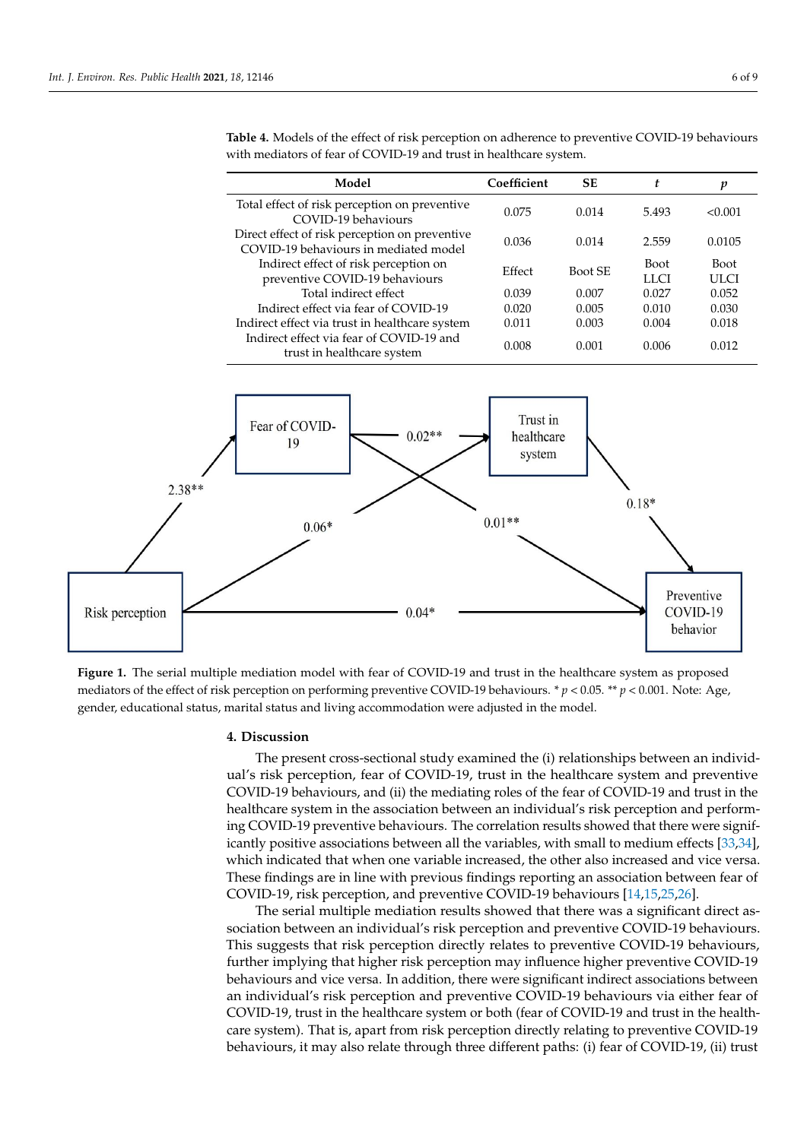| Model                                                                                   | Coefficient | <b>SE</b> | t.                  | p                   |
|-----------------------------------------------------------------------------------------|-------------|-----------|---------------------|---------------------|
| Total effect of risk perception on preventive<br>COVID-19 behaviours                    | 0.075       | 0.014     | 5.493               | < 0.001             |
| Direct effect of risk perception on preventive<br>COVID-19 behaviours in mediated model | 0.036       | 0.014     | 2.559               | 0.0105              |
| Indirect effect of risk perception on<br>preventive COVID-19 behaviours                 | Effect      | Boot SE   | <b>Boot</b><br>LLCI | <b>Boot</b><br>ULCI |
| Total indirect effect                                                                   | 0.039       | 0.007     | 0.027               | 0.052               |
| Indirect effect via fear of COVID-19                                                    | 0.020       | 0.005     | 0.010               | 0.030               |
| Indirect effect via trust in healthcare system                                          | 0.011       | 0.003     | 0.004               | 0.018               |
| Indirect effect via fear of COVID-19 and<br>trust in healthcare system                  | 0.008       | 0.001     | 0.006               | 0.012               |

<span id="page-5-0"></span>**Table 4.** Models of the effect of risk perception on adherence to preventive COVID-19 behaviours with mediators of fear of COVID-19 and trust in healthcare system.

<span id="page-5-1"></span>

mediators of the effect of risk perception on performing preventive COVID-19 behaviours. \*  $p < 0.05$ . \*\*  $p < 0.001$ . Note: Age, gender, educational status, marital status and living accommodation were adjusted in the model. **Figure 1.** The serial multiple mediation model with fear of COVID-19 and trust in the healthcare system as proposed

### **4. Discussion**

The present cross-sectional study examined the (i) relationships between an individual's risk perception, fear of COVID-19, trust in the healthcare system and preventive COVID-19 behaviours, and (ii) the mediating roles of the fear of COVID-19 and trust in the healthcare system in the association between an individual's risk perception and performing COVID-19 preventive behaviours. The correlation results showed that there were significantly positive associations between all the variables, with small to medium effects [\[33](#page-8-14)[,34\]](#page-8-15), which indicated that when one variable increased, the other also increased and vice versa. These findings are in line with previous findings reporting an association between fear of COVID-19, risk perception, and preventive COVID-19 behaviours [\[14](#page-7-13)[,15](#page-7-14)[,25,](#page-8-6)[26\]](#page-8-7).

The serial multiple mediation results showed that there was a significant direct association between an individual's risk perception and preventive COVID-19 behaviours. This suggests that risk perception directly relates to preventive COVID-19 behaviours, further implying that higher risk perception may influence higher preventive COVID-19 behaviours and vice versa. In addition, there were significant indirect associations between an individual's risk perception and preventive COVID-19 behaviours via either fear of COVID-19, trust in the healthcare system or both (fear of COVID-19 and trust in the healthcare system). That is, apart from risk perception directly relating to preventive COVID-19 behaviours, it may also relate through three different paths: (i) fear of COVID-19, (ii) trust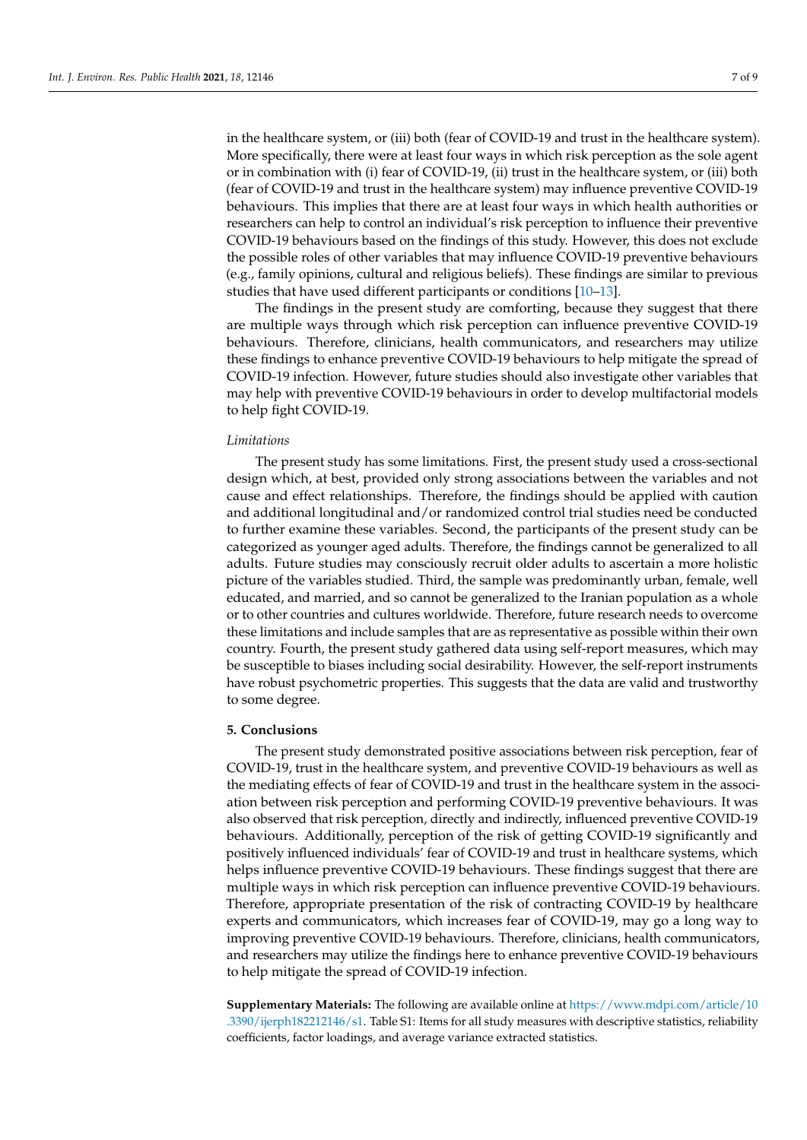in the healthcare system, or (iii) both (fear of COVID-19 and trust in the healthcare system). More specifically, there were at least four ways in which risk perception as the sole agent or in combination with (i) fear of COVID-19, (ii) trust in the healthcare system, or (iii) both (fear of COVID-19 and trust in the healthcare system) may influence preventive COVID-19 behaviours. This implies that there are at least four ways in which health authorities or researchers can help to control an individual's risk perception to influence their preventive COVID-19 behaviours based on the findings of this study. However, this does not exclude the possible roles of other variables that may influence COVID-19 preventive behaviours (e.g., family opinions, cultural and religious beliefs). These findings are similar to previous studies that have used different participants or conditions [\[10](#page-7-9)[–13\]](#page-7-12).

The findings in the present study are comforting, because they suggest that there are multiple ways through which risk perception can influence preventive COVID-19 behaviours. Therefore, clinicians, health communicators, and researchers may utilize these findings to enhance preventive COVID-19 behaviours to help mitigate the spread of COVID-19 infection. However, future studies should also investigate other variables that may help with preventive COVID-19 behaviours in order to develop multifactorial models to help fight COVID-19.

#### *Limitations*

The present study has some limitations. First, the present study used a cross-sectional design which, at best, provided only strong associations between the variables and not cause and effect relationships. Therefore, the findings should be applied with caution and additional longitudinal and/or randomized control trial studies need be conducted to further examine these variables. Second, the participants of the present study can be categorized as younger aged adults. Therefore, the findings cannot be generalized to all adults. Future studies may consciously recruit older adults to ascertain a more holistic picture of the variables studied. Third, the sample was predominantly urban, female, well educated, and married, and so cannot be generalized to the Iranian population as a whole or to other countries and cultures worldwide. Therefore, future research needs to overcome these limitations and include samples that are as representative as possible within their own country. Fourth, the present study gathered data using self-report measures, which may be susceptible to biases including social desirability. However, the self-report instruments have robust psychometric properties. This suggests that the data are valid and trustworthy to some degree.

# **5. Conclusions**

The present study demonstrated positive associations between risk perception, fear of COVID-19, trust in the healthcare system, and preventive COVID-19 behaviours as well as the mediating effects of fear of COVID-19 and trust in the healthcare system in the association between risk perception and performing COVID-19 preventive behaviours. It was also observed that risk perception, directly and indirectly, influenced preventive COVID-19 behaviours. Additionally, perception of the risk of getting COVID-19 significantly and positively influenced individuals' fear of COVID-19 and trust in healthcare systems, which helps influence preventive COVID-19 behaviours. These findings suggest that there are multiple ways in which risk perception can influence preventive COVID-19 behaviours. Therefore, appropriate presentation of the risk of contracting COVID-19 by healthcare experts and communicators, which increases fear of COVID-19, may go a long way to improving preventive COVID-19 behaviours. Therefore, clinicians, health communicators, and researchers may utilize the findings here to enhance preventive COVID-19 behaviours to help mitigate the spread of COVID-19 infection.

**Supplementary Materials:** The following are available online at [https://www.mdpi.com/article/10](https://www.mdpi.com/article/10.3390/ijerph182212146/s1) [.3390/ijerph182212146/s1.](https://www.mdpi.com/article/10.3390/ijerph182212146/s1) Table S1: Items for all study measures with descriptive statistics, reliability coefficients, factor loadings, and average variance extracted statistics.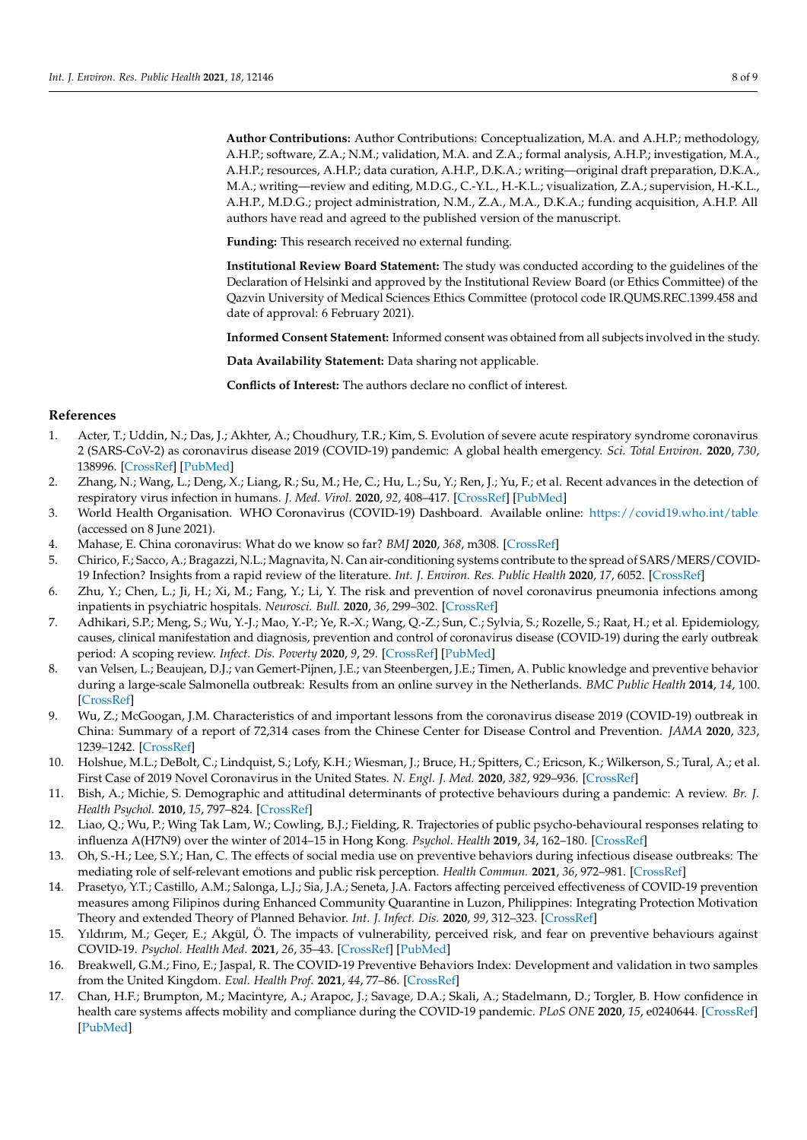**Author Contributions:** Author Contributions: Conceptualization, M.A. and A.H.P.; methodology, A.H.P.; software, Z.A.; N.M.; validation, M.A. and Z.A.; formal analysis, A.H.P.; investigation, M.A., A.H.P.; resources, A.H.P.; data curation, A.H.P., D.K.A.; writing—original draft preparation, D.K.A., M.A.; writing—review and editing, M.D.G., C.-Y.L., H.-K.L.; visualization, Z.A.; supervision, H.-K.L., A.H.P., M.D.G.; project administration, N.M., Z.A., M.A., D.K.A.; funding acquisition, A.H.P. All authors have read and agreed to the published version of the manuscript.

**Funding:** This research received no external funding.

**Institutional Review Board Statement:** The study was conducted according to the guidelines of the Declaration of Helsinki and approved by the Institutional Review Board (or Ethics Committee) of the Qazvin University of Medical Sciences Ethics Committee (protocol code IR.QUMS.REC.1399.458 and date of approval: 6 February 2021).

**Informed Consent Statement:** Informed consent was obtained from all subjects involved in the study.

**Data Availability Statement:** Data sharing not applicable.

**Conflicts of Interest:** The authors declare no conflict of interest.

# **References**

- <span id="page-7-0"></span>1. Acter, T.; Uddin, N.; Das, J.; Akhter, A.; Choudhury, T.R.; Kim, S. Evolution of severe acute respiratory syndrome coronavirus 2 (SARS-CoV-2) as coronavirus disease 2019 (COVID-19) pandemic: A global health emergency. *Sci. Total Environ.* **2020**, *730*, 138996. [\[CrossRef\]](http://doi.org/10.1016/j.scitotenv.2020.138996) [\[PubMed\]](http://www.ncbi.nlm.nih.gov/pubmed/32371230)
- <span id="page-7-1"></span>2. Zhang, N.; Wang, L.; Deng, X.; Liang, R.; Su, M.; He, C.; Hu, L.; Su, Y.; Ren, J.; Yu, F.; et al. Recent advances in the detection of respiratory virus infection in humans. *J. Med. Virol.* **2020**, *92*, 408–417. [\[CrossRef\]](http://doi.org/10.1002/jmv.25674) [\[PubMed\]](http://www.ncbi.nlm.nih.gov/pubmed/31944312)
- <span id="page-7-2"></span>3. World Health Organisation. WHO Coronavirus (COVID-19) Dashboard. Available online: <https://covid19.who.int/table> (accessed on 8 June 2021).
- <span id="page-7-3"></span>4. Mahase, E. China coronavirus: What do we know so far? *BMJ* **2020**, *368*, m308. [\[CrossRef\]](http://doi.org/10.1136/bmj.m308)
- <span id="page-7-4"></span>5. Chirico, F.; Sacco, A.; Bragazzi, N.L.; Magnavita, N. Can air-conditioning systems contribute to the spread of SARS/MERS/COVID-19 Infection? Insights from a rapid review of the literature. *Int. J. Environ. Res. Public Health* **2020**, *17*, 6052. [\[CrossRef\]](http://doi.org/10.3390/ijerph17176052)
- <span id="page-7-5"></span>6. Zhu, Y.; Chen, L.; Ji, H.; Xi, M.; Fang, Y.; Li, Y. The risk and prevention of novel coronavirus pneumonia infections among inpatients in psychiatric hospitals. *Neurosci. Bull.* **2020**, *36*, 299–302. [\[CrossRef\]](http://doi.org/10.1007/s12264-020-00476-9)
- <span id="page-7-6"></span>7. Adhikari, S.P.; Meng, S.; Wu, Y.-J.; Mao, Y.-P.; Ye, R.-X.; Wang, Q.-Z.; Sun, C.; Sylvia, S.; Rozelle, S.; Raat, H.; et al. Epidemiology, causes, clinical manifestation and diagnosis, prevention and control of coronavirus disease (COVID-19) during the early outbreak period: A scoping review. *Infect. Dis. Poverty* **2020**, *9*, 29. [\[CrossRef\]](http://doi.org/10.1186/s40249-020-00646-x) [\[PubMed\]](http://www.ncbi.nlm.nih.gov/pubmed/32183901)
- <span id="page-7-7"></span>8. van Velsen, L.; Beaujean, D.J.; van Gemert-Pijnen, J.E.; van Steenbergen, J.E.; Timen, A. Public knowledge and preventive behavior during a large-scale Salmonella outbreak: Results from an online survey in the Netherlands. *BMC Public Health* **2014**, *14*, 100. [\[CrossRef\]](http://doi.org/10.1186/1471-2458-14-100)
- <span id="page-7-8"></span>9. Wu, Z.; McGoogan, J.M. Characteristics of and important lessons from the coronavirus disease 2019 (COVID-19) outbreak in China: Summary of a report of 72,314 cases from the Chinese Center for Disease Control and Prevention. *JAMA* **2020**, *323*, 1239–1242. [\[CrossRef\]](http://doi.org/10.1001/jama.2020.2648)
- <span id="page-7-9"></span>10. Holshue, M.L.; DeBolt, C.; Lindquist, S.; Lofy, K.H.; Wiesman, J.; Bruce, H.; Spitters, C.; Ericson, K.; Wilkerson, S.; Tural, A.; et al. First Case of 2019 Novel Coronavirus in the United States. *N. Engl. J. Med.* **2020**, *382*, 929–936. [\[CrossRef\]](http://doi.org/10.1056/NEJMoa2001191)
- <span id="page-7-10"></span>11. Bish, A.; Michie, S. Demographic and attitudinal determinants of protective behaviours during a pandemic: A review. *Br. J. Health Psychol.* **2010**, *15*, 797–824. [\[CrossRef\]](http://doi.org/10.1348/135910710X485826)
- <span id="page-7-11"></span>12. Liao, Q.; Wu, P.; Wing Tak Lam, W.; Cowling, B.J.; Fielding, R. Trajectories of public psycho-behavioural responses relating to influenza A(H7N9) over the winter of 2014–15 in Hong Kong. *Psychol. Health* **2019**, *34*, 162–180. [\[CrossRef\]](http://doi.org/10.1080/08870446.2018.1515436)
- <span id="page-7-12"></span>13. Oh, S.-H.; Lee, S.Y.; Han, C. The effects of social media use on preventive behaviors during infectious disease outbreaks: The mediating role of self-relevant emotions and public risk perception. *Health Commun.* **2021**, *36*, 972–981. [\[CrossRef\]](http://doi.org/10.1080/10410236.2020.1724639)
- <span id="page-7-13"></span>14. Prasetyo, Y.T.; Castillo, A.M.; Salonga, L.J.; Sia, J.A.; Seneta, J.A. Factors affecting perceived effectiveness of COVID-19 prevention measures among Filipinos during Enhanced Community Quarantine in Luzon, Philippines: Integrating Protection Motivation Theory and extended Theory of Planned Behavior. *Int. J. Infect. Dis.* **2020**, *99*, 312–323. [\[CrossRef\]](http://doi.org/10.1016/j.ijid.2020.07.074)
- <span id="page-7-14"></span>15. Yıldırım, M.; Geçer, E.; Akgül, Ö. The impacts of vulnerability, perceived risk, and fear on preventive behaviours against COVID-19. *Psychol. Health Med.* **2021**, *26*, 35–43. [\[CrossRef\]](http://doi.org/10.1080/13548506.2020.1776891) [\[PubMed\]](http://www.ncbi.nlm.nih.gov/pubmed/32490689)
- <span id="page-7-15"></span>16. Breakwell, G.M.; Fino, E.; Jaspal, R. The COVID-19 Preventive Behaviors Index: Development and validation in two samples from the United Kingdom. *Eval. Health Prof.* **2021**, *44*, 77–86. [\[CrossRef\]](http://doi.org/10.1177/0163278720983416)
- <span id="page-7-16"></span>17. Chan, H.F.; Brumpton, M.; Macintyre, A.; Arapoc, J.; Savage, D.A.; Skali, A.; Stadelmann, D.; Torgler, B. How confidence in health care systems affects mobility and compliance during the COVID-19 pandemic. *PLoS ONE* **2020**, *15*, e0240644. [\[CrossRef\]](http://doi.org/10.1371/journal.pone.0240644) [\[PubMed\]](http://www.ncbi.nlm.nih.gov/pubmed/33057450)